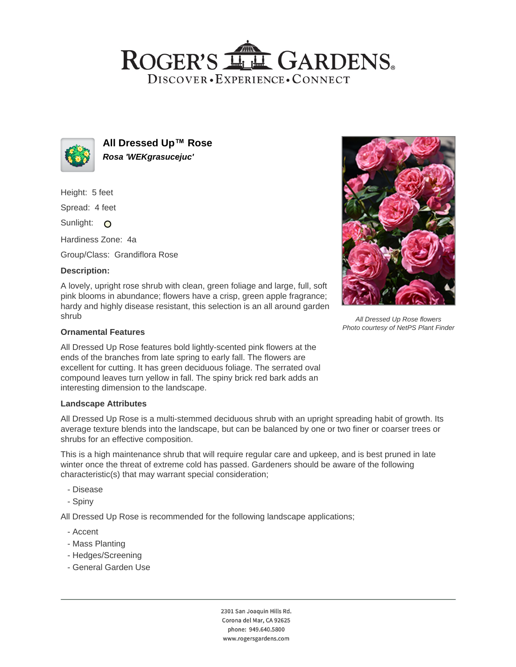# ROGER'S LL GARDENS. DISCOVER · EXPERIENCE · CONNECT



**All Dressed Up™ Rose Rosa 'WEKgrasucejuc'**

Height: 5 feet

Spread: 4 feet

Sunlight: O

Hardiness Zone: 4a

Group/Class: Grandiflora Rose

# **Description:**

A lovely, upright rose shrub with clean, green foliage and large, full, soft pink blooms in abundance; flowers have a crisp, green apple fragrance; hardy and highly disease resistant, this selection is an all around garden shrub

### **Ornamental Features**

All Dressed Up Rose features bold lightly-scented pink flowers at the ends of the branches from late spring to early fall. The flowers are excellent for cutting. It has green deciduous foliage. The serrated oval compound leaves turn yellow in fall. The spiny brick red bark adds an interesting dimension to the landscape.

#### **Landscape Attributes**

All Dressed Up Rose is a multi-stemmed deciduous shrub with an upright spreading habit of growth. Its average texture blends into the landscape, but can be balanced by one or two finer or coarser trees or shrubs for an effective composition.

This is a high maintenance shrub that will require regular care and upkeep, and is best pruned in late winter once the threat of extreme cold has passed. Gardeners should be aware of the following characteristic(s) that may warrant special consideration;

- Disease
- Spiny

All Dressed Up Rose is recommended for the following landscape applications;

- Accent
- Mass Planting
- Hedges/Screening
- General Garden Use



All Dressed Up Rose flowers Photo courtesy of NetPS Plant Finder

2301 San Joaquin Hills Rd. Corona del Mar, CA 92625 phone: 949.640.5800 www.rogersgardens.com